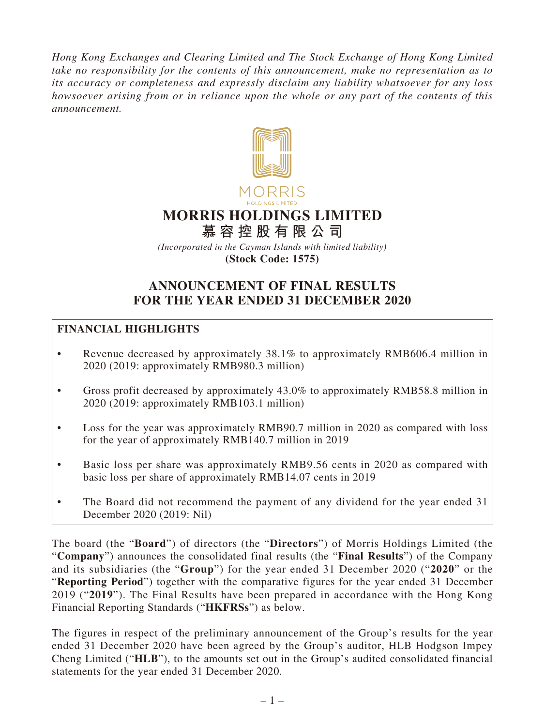*Hong Kong Exchanges and Clearing Limited and The Stock Exchange of Hong Kong Limited take no responsibility for the contents of this announcement, make no representation as to its accuracy or completeness and expressly disclaim any liability whatsoever for any loss howsoever arising from or in reliance upon the whole or any part of the contents of this announcement.*



# **MORRIS HOLDINGS LIMITED**

**慕容控股有限公司**

*(Incorporated in the Cayman Islands with limited liability)* **(Stock Code: 1575)**

# **ANNOUNCEMENT OF FINAL RESULTS FOR THE YEAR ENDED 31 DECEMBER 2020**

# **FINANCIAL HIGHLIGHTS**

- Revenue decreased by approximately 38.1% to approximately RMB606.4 million in 2020 (2019: approximately RMB980.3 million)
- Gross profit decreased by approximately 43.0% to approximately RMB58.8 million in 2020 (2019: approximately RMB103.1 million)
- Loss for the year was approximately RMB90.7 million in 2020 as compared with loss for the year of approximately RMB140.7 million in 2019
- Basic loss per share was approximately RMB9.56 cents in 2020 as compared with basic loss per share of approximately RMB14.07 cents in 2019
- The Board did not recommend the payment of any dividend for the year ended 31 December 2020 (2019: Nil)

The board (the "**Board**") of directors (the "**Directors**") of Morris Holdings Limited (the "**Company**") announces the consolidated final results (the "**Final Results**") of the Company and its subsidiaries (the "**Group**") for the year ended 31 December 2020 ("**2020**" or the "**Reporting Period**") together with the comparative figures for the year ended 31 December 2019 ("**2019**"). The Final Results have been prepared in accordance with the Hong Kong Financial Reporting Standards ("**HKFRSs**") as below.

The figures in respect of the preliminary announcement of the Group's results for the year ended 31 December 2020 have been agreed by the Group's auditor, HLB Hodgson Impey Cheng Limited ("**HLB**"), to the amounts set out in the Group's audited consolidated financial statements for the year ended 31 December 2020.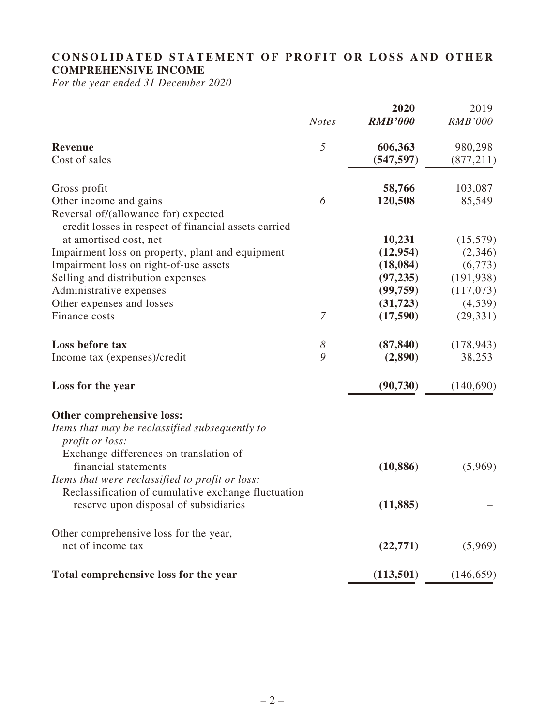# **CONSOLIDATED STATEMENT OF PROFIT OR LOSS AND OTHER COMPREHENSIVE INCOME**

*For the year ended 31 December 2020*

|                       | 2020                                                | 2019           |
|-----------------------|-----------------------------------------------------|----------------|
| <b>Notes</b>          | <b>RMB'000</b>                                      | <b>RMB'000</b> |
| $\sqrt{2}$            | 606,363                                             | 980,298        |
|                       | (547, 597)                                          | (877, 211)     |
|                       | 58,766                                              | 103,087        |
| 6                     | 120,508                                             | 85,549         |
|                       |                                                     |                |
|                       | 10,231                                              | (15,579)       |
|                       | (12, 954)                                           | (2,346)        |
|                       | (18,084)                                            | (6,773)        |
|                       | (97, 235)                                           | (191, 938)     |
|                       | (99,759)                                            | (117,073)      |
|                       | (31, 723)                                           | (4,539)        |
| $\boldsymbol{7}$      | (17,590)                                            | (29, 331)      |
| $\boldsymbol{\delta}$ | (87, 840)                                           | (178, 943)     |
| 9                     | (2,890)                                             | 38,253         |
|                       | (90, 730)                                           | (140,690)      |
|                       |                                                     |                |
|                       |                                                     |                |
|                       | (10, 886)                                           | (5,969)        |
|                       |                                                     |                |
|                       | (11, 885)                                           |                |
|                       |                                                     |                |
|                       | (22, 771)                                           | (5,969)        |
|                       |                                                     | (146, 659)     |
|                       | Reclassification of cumulative exchange fluctuation | (113,501)      |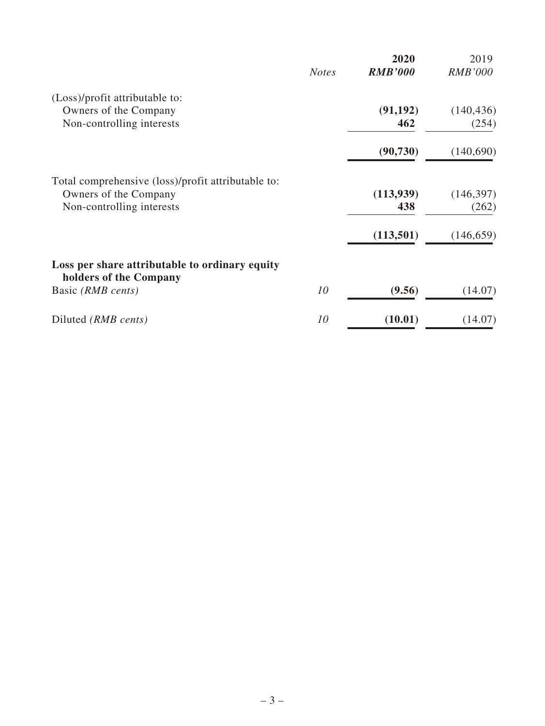|                                                                          | <b>Notes</b> | 2020<br><b>RMB'000</b> | 2019<br><b>RMB'000</b> |
|--------------------------------------------------------------------------|--------------|------------------------|------------------------|
| (Loss)/profit attributable to:                                           |              |                        |                        |
| Owners of the Company                                                    |              | (91, 192)              | (140, 436)             |
| Non-controlling interests                                                |              | 462                    | (254)                  |
|                                                                          |              | (90, 730)              | (140,690)              |
| Total comprehensive (loss)/profit attributable to:                       |              |                        |                        |
| Owners of the Company                                                    |              | (113, 939)             | (146, 397)             |
| Non-controlling interests                                                |              | 438                    | (262)                  |
|                                                                          |              | (113,501)              | (146, 659)             |
| Loss per share attributable to ordinary equity<br>holders of the Company |              |                        |                        |
| Basic (RMB cents)                                                        | 10           | (9.56)                 | (14.07)                |
| Diluted (RMB cents)                                                      | 10           | (10.01)                | (14.07)                |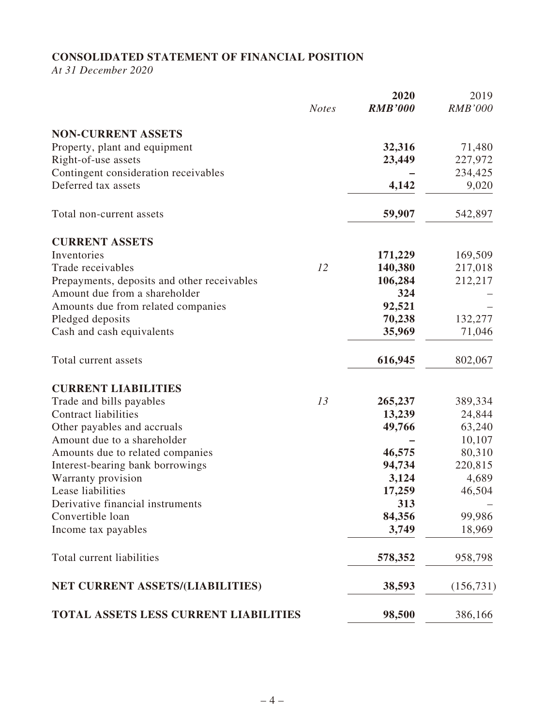# **CONSOLIDATED STATEMENT OF FINANCIAL POSITION**

*At 31 December 2020*

|                                              | <b>Notes</b> | 2020<br><b>RMB'000</b> | 2019<br><b>RMB'000</b> |
|----------------------------------------------|--------------|------------------------|------------------------|
|                                              |              |                        |                        |
| <b>NON-CURRENT ASSETS</b>                    |              |                        |                        |
| Property, plant and equipment                |              | 32,316                 | 71,480                 |
| Right-of-use assets                          |              | 23,449                 | 227,972                |
| Contingent consideration receivables         |              |                        | 234,425                |
| Deferred tax assets                          |              | 4,142                  | 9,020                  |
| Total non-current assets                     |              | 59,907                 | 542,897                |
| <b>CURRENT ASSETS</b>                        |              |                        |                        |
| Inventories                                  |              | 171,229                | 169,509                |
| Trade receivables                            | 12           | 140,380                | 217,018                |
| Prepayments, deposits and other receivables  |              | 106,284                | 212,217                |
| Amount due from a shareholder                |              | 324                    |                        |
| Amounts due from related companies           |              | 92,521                 |                        |
| Pledged deposits                             |              | 70,238                 | 132,277                |
| Cash and cash equivalents                    |              | 35,969                 | 71,046                 |
| Total current assets                         |              | 616,945                | 802,067                |
| <b>CURRENT LIABILITIES</b>                   |              |                        |                        |
| Trade and bills payables                     | 13           | 265,237                | 389,334                |
| <b>Contract liabilities</b>                  |              | 13,239                 | 24,844                 |
| Other payables and accruals                  |              | 49,766                 | 63,240                 |
| Amount due to a shareholder                  |              |                        | 10,107                 |
| Amounts due to related companies             |              | 46,575                 | 80,310                 |
| Interest-bearing bank borrowings             |              | 94,734                 | 220,815                |
| Warranty provision                           |              | 3,124                  | 4,689                  |
| Lease liabilities                            |              | 17,259                 | 46,504                 |
| Derivative financial instruments             |              | 313                    |                        |
| Convertible loan                             |              | 84,356                 | 99,986                 |
| Income tax payables                          |              | 3,749                  | 18,969                 |
| Total current liabilities                    |              | 578,352                | 958,798                |
| NET CURRENT ASSETS/(LIABILITIES)             |              | 38,593                 | (156, 731)             |
| <b>TOTAL ASSETS LESS CURRENT LIABILITIES</b> |              | 98,500                 | 386,166                |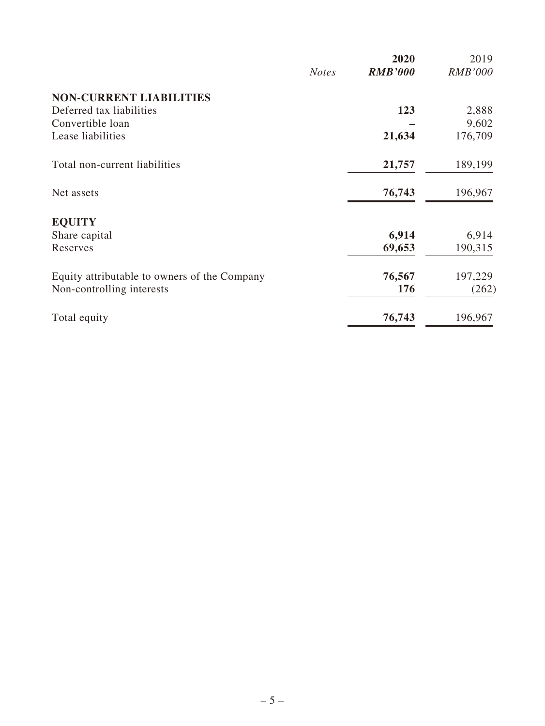|                                              | <b>Notes</b> | 2020<br><b>RMB'000</b> | 2019<br><b>RMB'000</b> |
|----------------------------------------------|--------------|------------------------|------------------------|
| <b>NON-CURRENT LIABILITIES</b>               |              |                        |                        |
| Deferred tax liabilities                     |              | 123                    | 2,888                  |
| Convertible loan                             |              |                        | 9,602                  |
| Lease liabilities                            |              | 21,634                 | 176,709                |
| Total non-current liabilities                |              | 21,757                 | 189,199                |
| Net assets                                   |              | 76,743                 | 196,967                |
| <b>EQUITY</b>                                |              |                        |                        |
| Share capital                                |              | 6,914                  | 6,914                  |
| Reserves                                     |              | 69,653                 | 190,315                |
| Equity attributable to owners of the Company |              | 76,567                 | 197,229                |
| Non-controlling interests                    |              | 176                    | (262)                  |
| Total equity                                 |              | 76,743                 | 196,967                |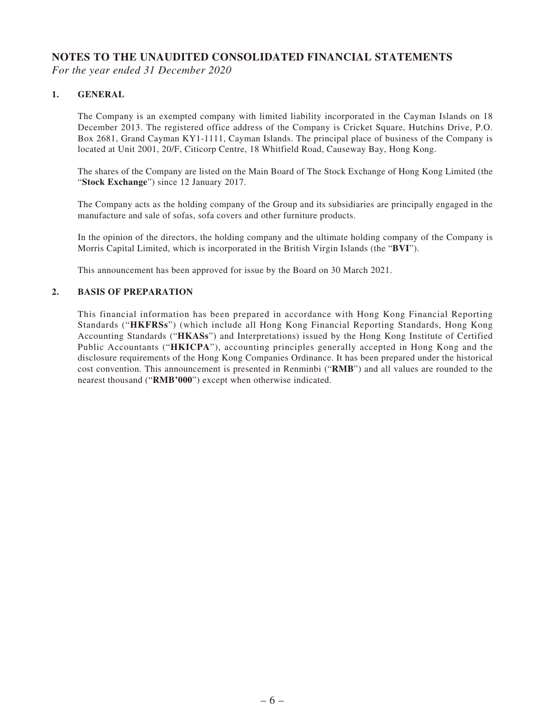# **NOTES TO THE UNAUDITED CONSOLIDATED FINANCIAL STATEMENTS**

*For the year ended 31 December 2020*

#### **1. GENERAL**

The Company is an exempted company with limited liability incorporated in the Cayman Islands on 18 December 2013. The registered office address of the Company is Cricket Square, Hutchins Drive, P.O. Box 2681, Grand Cayman KY1-1111, Cayman Islands. The principal place of business of the Company is located at Unit 2001, 20/F, Citicorp Centre, 18 Whitfield Road, Causeway Bay, Hong Kong.

The shares of the Company are listed on the Main Board of The Stock Exchange of Hong Kong Limited (the "**Stock Exchange**") since 12 January 2017.

The Company acts as the holding company of the Group and its subsidiaries are principally engaged in the manufacture and sale of sofas, sofa covers and other furniture products.

In the opinion of the directors, the holding company and the ultimate holding company of the Company is Morris Capital Limited, which is incorporated in the British Virgin Islands (the "**BVI**").

This announcement has been approved for issue by the Board on 30 March 2021.

#### **2. BASIS OF PREPARATION**

This financial information has been prepared in accordance with Hong Kong Financial Reporting Standards ("**HKFRSs**") (which include all Hong Kong Financial Reporting Standards, Hong Kong Accounting Standards ("**HKASs**") and Interpretations) issued by the Hong Kong Institute of Certified Public Accountants ("**HKICPA**"), accounting principles generally accepted in Hong Kong and the disclosure requirements of the Hong Kong Companies Ordinance. It has been prepared under the historical cost convention. This announcement is presented in Renminbi ("**RMB**") and all values are rounded to the nearest thousand ("**RMB'000**") except when otherwise indicated.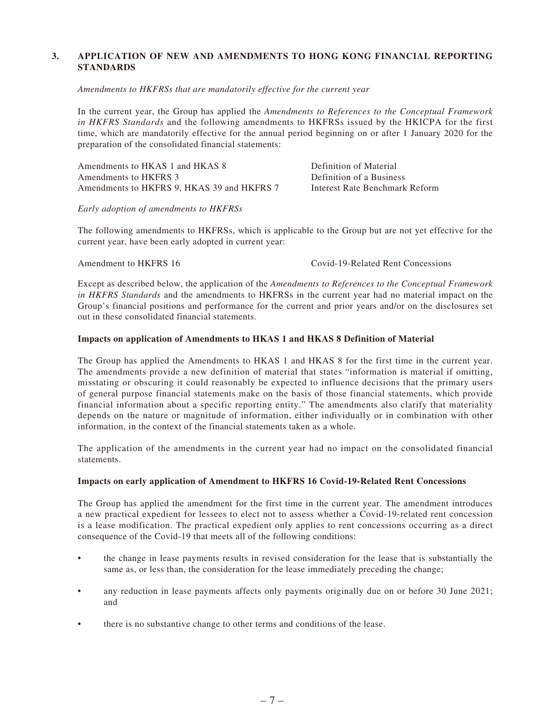#### **3. APPLICATION OF NEW AND AMENDMENTS TO HONG KONG FINANCIAL REPORTING STANDARDS**

#### *Amendments to HKFRSs that are mandatorily effective for the current year*

In the current year, the Group has applied the *Amendments to References to the Conceptual Framework in HKFRS Standards* and the following amendments to HKFRSs issued by the HKICPA for the first time, which are mandatorily effective for the annual period beginning on or after 1 January 2020 for the preparation of the consolidated financial statements:

| Amendments to HKAS 1 and HKAS 8            | Definition of Material         |
|--------------------------------------------|--------------------------------|
| Amendments to HKFRS 3                      | Definition of a Business       |
| Amendments to HKFRS 9, HKAS 39 and HKFRS 7 | Interest Rate Benchmark Reform |

*Early adoption of amendments to HKFRSs*

The following amendments to HKFRSs, which is applicable to the Group but are not yet effective for the current year, have been early adopted in current year:

Amendment to HKFRS 16 Covid-19-Related Rent Concessions

Except as described below, the application of the *Amendments to References to the Conceptual Framework in HKFRS Standards* and the amendments to HKFRSs in the current year had no material impact on the Group's financial positions and performance for the current and prior years and/or on the disclosures set out in these consolidated financial statements.

#### **Impacts on application of Amendments to HKAS 1 and HKAS 8 Definition of Material**

The Group has applied the Amendments to HKAS 1 and HKAS 8 for the first time in the current year. The amendments provide a new definition of material that states "information is material if omitting, misstating or obscuring it could reasonably be expected to influence decisions that the primary users of general purpose financial statements make on the basis of those financial statements, which provide financial information about a specific reporting entity." The amendments also clarify that materiality depends on the nature or magnitude of information, either individually or in combination with other information, in the context of the financial statements taken as a whole.

The application of the amendments in the current year had no impact on the consolidated financial statements.

#### **Impacts on early application of Amendment to HKFRS 16 Covid-19-Related Rent Concessions**

The Group has applied the amendment for the first time in the current year. The amendment introduces a new practical expedient for lessees to elect not to assess whether a Covid-19-related rent concession is a lease modification. The practical expedient only applies to rent concessions occurring as a direct consequence of the Covid-19 that meets all of the following conditions:

- the change in lease payments results in revised consideration for the lease that is substantially the same as, or less than, the consideration for the lease immediately preceding the change;
- any reduction in lease payments affects only payments originally due on or before 30 June 2021; and
- there is no substantive change to other terms and conditions of the lease.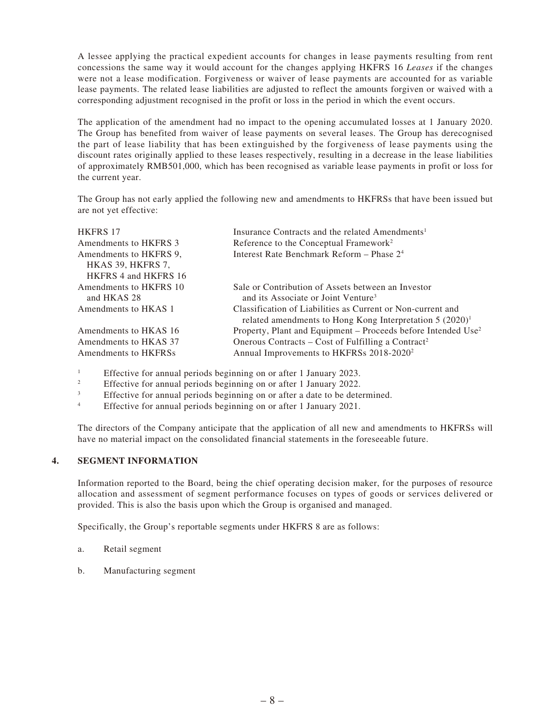A lessee applying the practical expedient accounts for changes in lease payments resulting from rent concessions the same way it would account for the changes applying HKFRS 16 *Leases* if the changes were not a lease modification. Forgiveness or waiver of lease payments are accounted for as variable lease payments. The related lease liabilities are adjusted to reflect the amounts forgiven or waived with a corresponding adjustment recognised in the profit or loss in the period in which the event occurs.

The application of the amendment had no impact to the opening accumulated losses at 1 January 2020. The Group has benefited from waiver of lease payments on several leases. The Group has derecognised the part of lease liability that has been extinguished by the forgiveness of lease payments using the discount rates originally applied to these leases respectively, resulting in a decrease in the lease liabilities of approximately RMB501,000, which has been recognised as variable lease payments in profit or loss for the current year.

The Group has not early applied the following new and amendments to HKFRSs that have been issued but are not yet effective:

| <b>HKFRS 17</b>        | Insurance Contracts and the related Amendments <sup>1</sup>               |
|------------------------|---------------------------------------------------------------------------|
| Amendments to HKFRS 3  | Reference to the Conceptual Framework <sup>2</sup>                        |
| Amendments to HKFRS 9. | Interest Rate Benchmark Reform – Phase 2 <sup>4</sup>                     |
| HKAS 39, HKFRS 7,      |                                                                           |
| HKFRS 4 and HKFRS 16   |                                                                           |
| Amendments to HKFRS 10 | Sale or Contribution of Assets between an Investor                        |
| and HKAS 28            | and its Associate or Joint Venture <sup>3</sup>                           |
| Amendments to HKAS 1   | Classification of Liabilities as Current or Non-current and               |
|                        | related amendments to Hong Kong Interpretation $5(2020)^1$                |
| Amendments to HKAS 16  | Property, Plant and Equipment – Proceeds before Intended Use <sup>2</sup> |
| Amendments to HKAS 37  | Onerous Contracts – Cost of Fulfilling a Contract <sup>2</sup>            |
| Amendments to HKFRSs   | Annual Improvements to HKFRSs 2018-2020 <sup>2</sup>                      |
|                        |                                                                           |

1 Effective for annual periods beginning on or after 1 January 2023.

2 Effective for annual periods beginning on or after 1 January 2022.

3 Effective for annual periods beginning on or after a date to be determined.

4 Effective for annual periods beginning on or after 1 January 2021.

The directors of the Company anticipate that the application of all new and amendments to HKFRSs will have no material impact on the consolidated financial statements in the foreseeable future.

#### **4. SEGMENT INFORMATION**

Information reported to the Board, being the chief operating decision maker, for the purposes of resource allocation and assessment of segment performance focuses on types of goods or services delivered or provided. This is also the basis upon which the Group is organised and managed.

Specifically, the Group's reportable segments under HKFRS 8 are as follows:

- a. Retail segment
- b. Manufacturing segment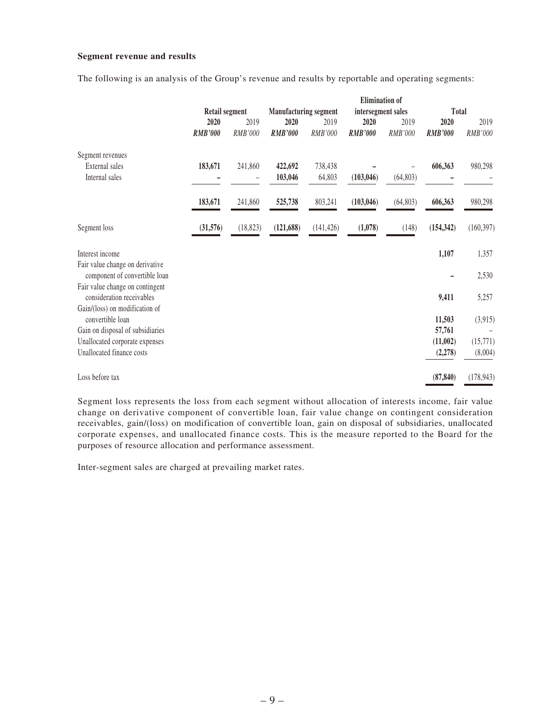#### **Segment revenue and results**

|  |  |  |  |  |  |  |  |  |  |  |  |  |  | The following is an analysis of the Group's revenue and results by reportable and operating segments: |  |  |  |
|--|--|--|--|--|--|--|--|--|--|--|--|--|--|-------------------------------------------------------------------------------------------------------|--|--|--|
|--|--|--|--|--|--|--|--|--|--|--|--|--|--|-------------------------------------------------------------------------------------------------------|--|--|--|

|                                                                  |                       |           |                              |            | <b>Elimination</b> of |           |                |            |
|------------------------------------------------------------------|-----------------------|-----------|------------------------------|------------|-----------------------|-----------|----------------|------------|
|                                                                  | <b>Retail segment</b> |           | <b>Manufacturing segment</b> |            | intersegment sales    |           | Total          |            |
|                                                                  | 2020                  | 2019      | 2020                         | 2019       | 2020                  | 2019      | 2020           | 2019       |
|                                                                  | <b>RMB'000</b>        | RMB'000   | <b>RMB'000</b>               | RMB'000    | <b>RMB'000</b>        | RMB'000   | <b>RMB'000</b> | RMB'000    |
| Segment revenues                                                 |                       |           |                              |            |                       |           |                |            |
| External sales                                                   | 183,671               | 241,860   | 422,692                      | 738,438    |                       |           | 606,363        | 980,298    |
| Internal sales                                                   |                       |           | 103,046                      | 64,803     | (103, 046)            | (64, 803) |                |            |
|                                                                  | 183,671               | 241,860   | 525,738                      | 803,241    | (103, 046)            | (64, 803) | 606,363        | 980,298    |
| Segment loss                                                     | (31,576)              | (18, 823) | (121, 688)                   | (141, 426) | (1,078)               | (148)     | (154, 342)     | (160, 397) |
| Interest income                                                  |                       |           |                              |            |                       |           | 1,107          | 1,357      |
| Fair value change on derivative<br>component of convertible loan |                       |           |                              |            |                       |           |                | 2,530      |
| Fair value change on contingent<br>consideration receivables     |                       |           |                              |            |                       |           | 9,411          | 5,257      |
| Gain/(loss) on modification of<br>convertible loan               |                       |           |                              |            |                       |           | 11,503         | (3,915)    |
| Gain on disposal of subsidiaries                                 |                       |           |                              |            |                       |           | 57,761         |            |
| Unallocated corporate expenses                                   |                       |           |                              |            |                       |           | (11,002)       | (15,771)   |
| Unallocated finance costs                                        |                       |           |                              |            |                       |           | (2, 278)       | (8,004)    |
| Loss before tax                                                  |                       |           |                              |            |                       |           | (87, 840)      | (178, 943) |

Segment loss represents the loss from each segment without allocation of interests income, fair value change on derivative component of convertible loan, fair value change on contingent consideration receivables, gain/(loss) on modification of convertible loan, gain on disposal of subsidiaries, unallocated corporate expenses, and unallocated finance costs. This is the measure reported to the Board for the purposes of resource allocation and performance assessment.

Inter-segment sales are charged at prevailing market rates.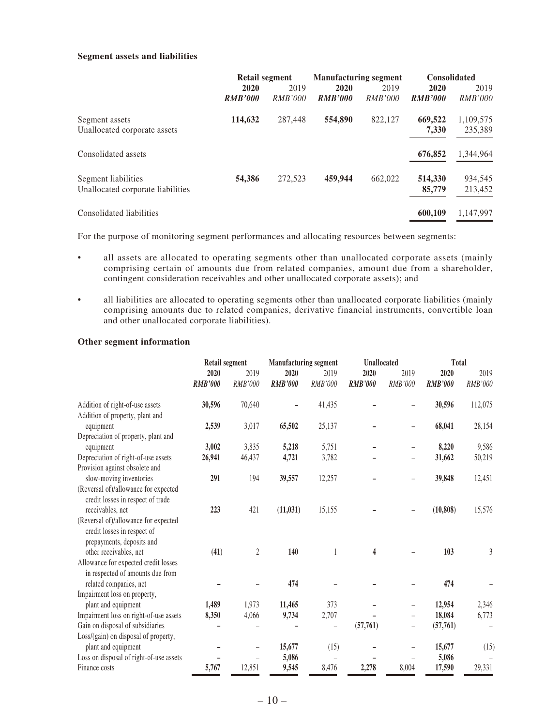#### **Segment assets and liabilities**

|                                   | <b>Retail segment</b> |                | <b>Manufacturing segment</b> |                | <b>Consolidated</b> |                |  |
|-----------------------------------|-----------------------|----------------|------------------------------|----------------|---------------------|----------------|--|
|                                   | 2020                  | 2019           | 2020                         | 2019           | 2020                | 2019           |  |
|                                   | <b>RMB'000</b>        | <i>RMB'000</i> | <b>RMB'000</b>               | <i>RMB'000</i> | <b>RMB'000</b>      | <i>RMB'000</i> |  |
| Segment assets                    | 114,632               | 287,448        | 554,890                      | 822,127        | 669,522             | 1,109,575      |  |
| Unallocated corporate assets      |                       |                |                              |                | 7,330               | 235,389        |  |
| Consolidated assets               |                       |                |                              |                | 676,852             | 1.344.964      |  |
| Segment liabilities               | 54.386                | 272,523        | 459,944                      | 662,022        | 514,330             | 934,545        |  |
| Unallocated corporate liabilities |                       |                |                              |                | 85,779              | 213,452        |  |
| Consolidated liabilities          |                       |                |                              |                | 600.109             | 1.147.997      |  |

For the purpose of monitoring segment performances and allocating resources between segments:

- all assets are allocated to operating segments other than unallocated corporate assets (mainly comprising certain of amounts due from related companies, amount due from a shareholder, contingent consideration receivables and other unallocated corporate assets); and
- all liabilities are allocated to operating segments other than unallocated corporate liabilities (mainly comprising amounts due to related companies, derivative financial instruments, convertible loan and other unallocated corporate liabilities).

#### **Other segment information**

|                                                                                                  | <b>Retail segment</b> |                | <b>Manufacturing segment</b> |         | Unallocated             |                          | <b>Total</b>   |         |  |
|--------------------------------------------------------------------------------------------------|-----------------------|----------------|------------------------------|---------|-------------------------|--------------------------|----------------|---------|--|
|                                                                                                  | 2020                  | 2019           | 2020                         | 2019    | 2020                    | 2019                     | 2020           | 2019    |  |
|                                                                                                  | <b>RMB'000</b>        | RMB'000        | <b>RMB'000</b>               | RMB'000 | <b>RMB'000</b>          | RMB'000                  | <b>RMB'000</b> | RMB'000 |  |
| Addition of right-of-use assets                                                                  | 30,596                | 70,640         |                              | 41,435  |                         | -                        | 30,596         | 112,075 |  |
| Addition of property, plant and                                                                  |                       |                |                              |         |                         |                          |                |         |  |
| equipment                                                                                        | 2,539                 | 3,017          | 65,502                       | 25,137  |                         | -                        | 68,041         | 28,154  |  |
| Depreciation of property, plant and                                                              |                       |                |                              |         |                         |                          |                |         |  |
| equipment                                                                                        | 3,002                 | 3,835          | 5,218                        | 5,751   |                         | -                        | 8,220          | 9,586   |  |
| Depreciation of right-of-use assets                                                              | 26,941                | 46,437         | 4,721                        | 3,782   |                         |                          | 31,662         | 50,219  |  |
| Provision against obsolete and                                                                   |                       |                |                              |         |                         |                          |                |         |  |
| slow-moving inventories                                                                          | 291                   | 194            | 39,557                       | 12,257  |                         | $\overline{\phantom{0}}$ | 39,848         | 12,451  |  |
| (Reversal of)/allowance for expected<br>credit losses in respect of trade                        |                       |                |                              |         |                         |                          |                |         |  |
| receivables, net                                                                                 | 223                   | 421            | (11, 031)                    | 15,155  |                         |                          | (10, 808)      | 15,576  |  |
| (Reversal of)/allowance for expected<br>credit losses in respect of<br>prepayments, deposits and |                       |                |                              |         |                         |                          |                |         |  |
| other receivables, net                                                                           | (41)                  | $\overline{c}$ | 140                          | 1       | $\overline{\mathbf{4}}$ |                          | 103            | 3       |  |
| Allowance for expected credit losses<br>in respected of amounts due from                         |                       |                |                              |         |                         |                          |                |         |  |
| related companies, net                                                                           |                       |                | 474                          |         |                         |                          | 474            |         |  |
| Impairment loss on property,                                                                     |                       |                |                              |         |                         |                          |                |         |  |
| plant and equipment                                                                              | 1,489                 | 1,973          | 11,465                       | 373     |                         |                          | 12,954         | 2,346   |  |
| Impairment loss on right-of-use assets                                                           | 8,350                 | 4,066          | 9,734                        | 2,707   |                         |                          | 18,084         | 6,773   |  |
| Gain on disposal of subsidiaries                                                                 |                       |                |                              | -       | (57,761)                | -                        | (57,761)       |         |  |
| Loss/(gain) on disposal of property,                                                             |                       |                |                              |         |                         |                          |                |         |  |
| plant and equipment                                                                              |                       |                | 15,677                       | (15)    |                         |                          | 15,677         | (15)    |  |
| Loss on disposal of right-of-use assets                                                          |                       |                | 5,086                        |         |                         |                          | 5,086          |         |  |
| Finance costs                                                                                    | 5,767                 | 12,851         | 9,545                        | 8,476   | 2,278                   | 8,004                    | 17,590         | 29,331  |  |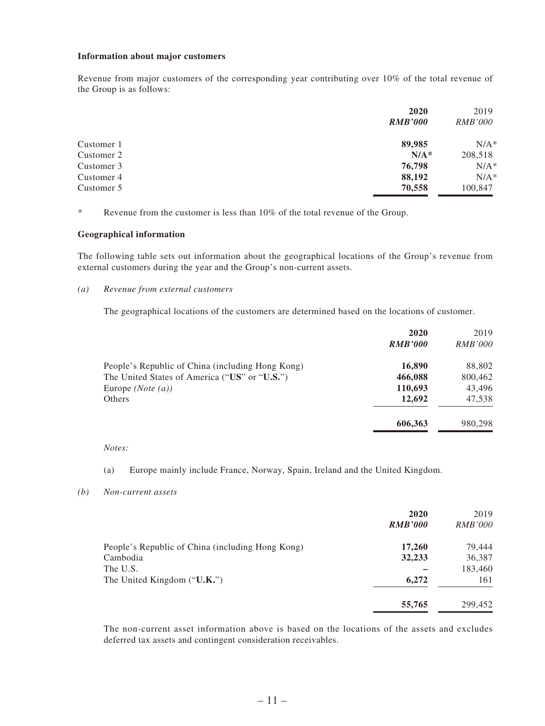#### **Information about major customers**

Revenue from major customers of the corresponding year contributing over 10% of the total revenue of the Group is as follows:

|            | 2020           | 2019           |
|------------|----------------|----------------|
|            | <b>RMB'000</b> | <i>RMB'000</i> |
| Customer 1 | 89,985         | $N/A^*$        |
| Customer 2 | $N/A^*$        | 208,518        |
| Customer 3 | 76,798         | $N/A^*$        |
| Customer 4 | 88,192         | $N/A^*$        |
| Customer 5 | 70,558         | 100,847        |

\* Revenue from the customer is less than 10% of the total revenue of the Group.

#### **Geographical information**

The following table sets out information about the geographical locations of the Group's revenue from external customers during the year and the Group's non-current assets.

#### *(a) Revenue from external customers*

The geographical locations of the customers are determined based on the locations of customer.

|                                                  | 2020<br><b>RMB'000</b> | 2019<br><i>RMB'000</i> |
|--------------------------------------------------|------------------------|------------------------|
| People's Republic of China (including Hong Kong) | 16,890                 | 88,802                 |
| The United States of America ("US" or "U.S.")    | 466,088                | 800,462                |
| Europe $(Note(a))$                               | 110,693                | 43,496                 |
| Others                                           | 12,692                 | 47,538                 |
|                                                  | 606,363                | 980,298                |

#### *Notes:*

(a) Europe mainly include France, Norway, Spain, Ireland and the United Kingdom.

#### *(b) Non-current assets*

|                                                  | 2020<br><b>RMB'000</b> | 2019<br><i>RMB'000</i> |
|--------------------------------------------------|------------------------|------------------------|
| People's Republic of China (including Hong Kong) | 17,260                 | 79,444                 |
| Cambodia                                         | 32,233                 | 36,387                 |
| The U.S.                                         |                        | 183,460                |
| The United Kingdom ("U.K.")                      | 6,272                  | 161                    |
|                                                  | 55,765                 | 299,452                |

The non-current asset information above is based on the locations of the assets and excludes deferred tax assets and contingent consideration receivables.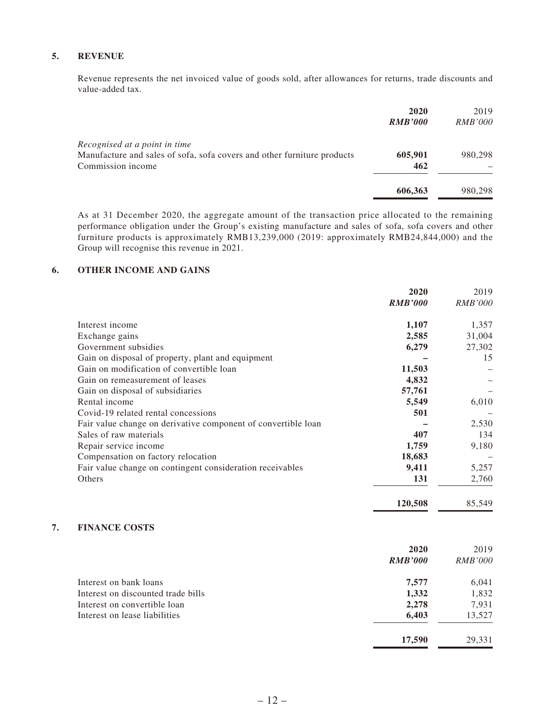#### **5. REVENUE**

Revenue represents the net invoiced value of goods sold, after allowances for returns, trade discounts and value-added tax.

|                                                                                                                               | 2020<br><b>RMB'000</b> | 2019<br><i>RMB'000</i> |
|-------------------------------------------------------------------------------------------------------------------------------|------------------------|------------------------|
| Recognised at a point in time<br>Manufacture and sales of sofa, sofa covers and other furniture products<br>Commission income | 605,901<br>462         | 980.298                |
|                                                                                                                               | 606,363                | 980,298                |

As at 31 December 2020, the aggregate amount of the transaction price allocated to the remaining performance obligation under the Group's existing manufacture and sales of sofa, sofa covers and other furniture products is approximately RMB13,239,000 (2019: approximately RMB24,844,000) and the Group will recognise this revenue in 2021.

#### **6. OTHER INCOME AND GAINS**

|                                                               | 2020           | 2019           |
|---------------------------------------------------------------|----------------|----------------|
|                                                               | <b>RMB'000</b> | <i>RMB'000</i> |
| Interest income                                               | 1,107          | 1,357          |
| Exchange gains                                                | 2,585          | 31,004         |
| Government subsidies                                          | 6,279          | 27,302         |
| Gain on disposal of property, plant and equipment             |                | 15             |
| Gain on modification of convertible loan                      | 11,503         |                |
| Gain on remeasurement of leases                               | 4,832          |                |
| Gain on disposal of subsidiaries                              | 57,761         |                |
| Rental income                                                 | 5,549          | 6,010          |
| Covid-19 related rental concessions                           | 501            |                |
| Fair value change on derivative component of convertible loan |                | 2,530          |
| Sales of raw materials                                        | 407            | 134            |
| Repair service income                                         | 1,759          | 9,180          |
| Compensation on factory relocation                            | 18,683         |                |
| Fair value change on contingent consideration receivables     | 9,411          | 5,257          |
| Others                                                        | 131            | 2,760          |
|                                                               | 120,508        | 85,549         |

#### **7. FINANCE COSTS**

|                                    | 2020           | 2019           |
|------------------------------------|----------------|----------------|
|                                    | <b>RMB'000</b> | <b>RMB'000</b> |
| Interest on bank loans             | 7,577          | 6,041          |
| Interest on discounted trade bills | 1,332          | 1,832          |
| Interest on convertible loan       | 2,278          | 7,931          |
| Interest on lease liabilities      | 6,403          | 13,527         |
|                                    | 17,590         | 29.331         |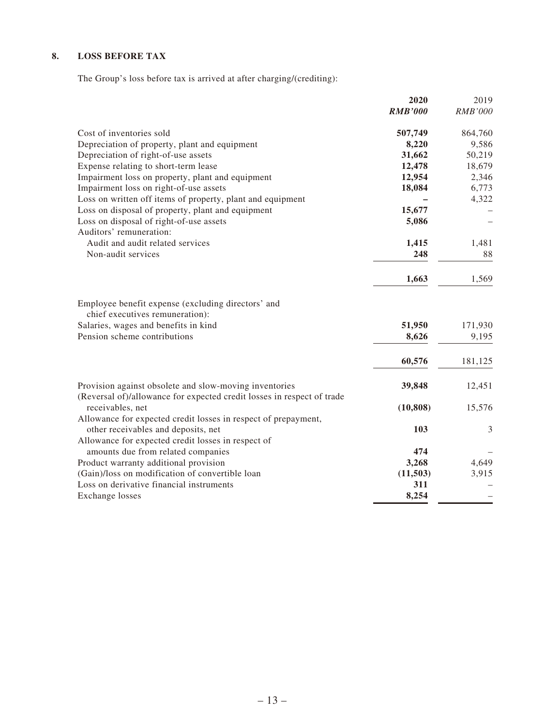### **8. LOSS BEFORE TAX**

The Group's loss before tax is arrived at after charging/(crediting):

|                                                                                            | 2020           | 2019           |
|--------------------------------------------------------------------------------------------|----------------|----------------|
|                                                                                            | <b>RMB'000</b> | <b>RMB'000</b> |
| Cost of inventories sold                                                                   | 507,749        | 864,760        |
| Depreciation of property, plant and equipment                                              | 8,220          | 9,586          |
| Depreciation of right-of-use assets                                                        | 31,662         | 50,219         |
| Expense relating to short-term lease                                                       | 12,478         | 18,679         |
| Impairment loss on property, plant and equipment                                           | 12,954         | 2,346          |
| Impairment loss on right-of-use assets                                                     | 18,084         | 6,773          |
| Loss on written off items of property, plant and equipment                                 |                | 4,322          |
| Loss on disposal of property, plant and equipment                                          | 15,677         |                |
| Loss on disposal of right-of-use assets                                                    | 5,086          |                |
| Auditors' remuneration:                                                                    |                |                |
| Audit and audit related services                                                           | 1,415          | 1,481          |
| Non-audit services                                                                         | 248            | 88             |
|                                                                                            | 1,663          | 1,569          |
| Employee benefit expense (excluding directors' and                                         |                |                |
| chief executives remuneration):<br>Salaries, wages and benefits in kind                    | 51,950         | 171,930        |
| Pension scheme contributions                                                               | 8,626          | 9,195          |
|                                                                                            |                |                |
|                                                                                            | 60,576         | 181,125        |
| Provision against obsolete and slow-moving inventories                                     | 39,848         | 12,451         |
| (Reversal of)/allowance for expected credit losses in respect of trade<br>receivables, net | (10, 808)      | 15,576         |
| Allowance for expected credit losses in respect of prepayment,                             |                |                |
| other receivables and deposits, net                                                        | 103            | 3              |
| Allowance for expected credit losses in respect of                                         |                |                |
| amounts due from related companies                                                         | 474            |                |
| Product warranty additional provision                                                      | 3,268          | 4,649          |
| (Gain)/loss on modification of convertible loan                                            | (11, 503)      | 3,915          |
| Loss on derivative financial instruments                                                   | 311            |                |
| <b>Exchange losses</b>                                                                     | 8,254          |                |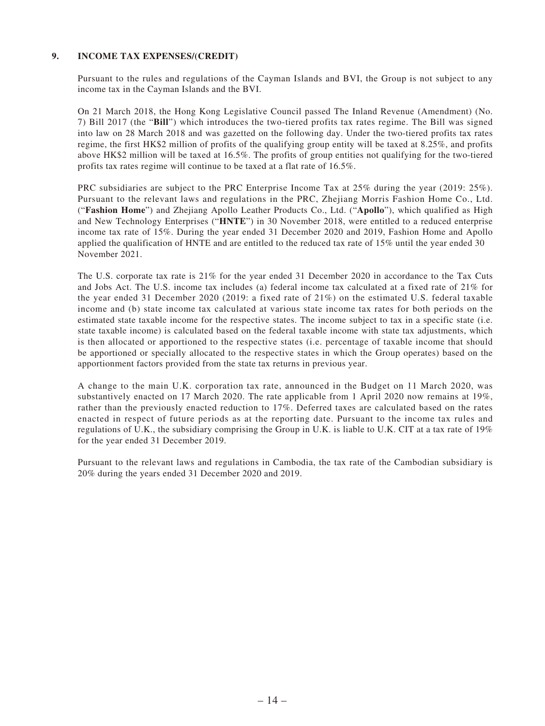#### **9. INCOME TAX EXPENSES/(CREDIT)**

Pursuant to the rules and regulations of the Cayman Islands and BVI, the Group is not subject to any income tax in the Cayman Islands and the BVI.

On 21 March 2018, the Hong Kong Legislative Council passed The Inland Revenue (Amendment) (No. 7) Bill 2017 (the "**Bill**") which introduces the two-tiered profits tax rates regime. The Bill was signed into law on 28 March 2018 and was gazetted on the following day. Under the two-tiered profits tax rates regime, the first HK\$2 million of profits of the qualifying group entity will be taxed at 8.25%, and profits above HK\$2 million will be taxed at 16.5%. The profits of group entities not qualifying for the two-tiered profits tax rates regime will continue to be taxed at a flat rate of 16.5%.

PRC subsidiaries are subject to the PRC Enterprise Income Tax at 25% during the year (2019: 25%). Pursuant to the relevant laws and regulations in the PRC, Zhejiang Morris Fashion Home Co., Ltd. ("**Fashion Home**") and Zhejiang Apollo Leather Products Co., Ltd. ("**Apollo**"), which qualified as High and New Technology Enterprises ("**HNTE**") in 30 November 2018, were entitled to a reduced enterprise income tax rate of 15%. During the year ended 31 December 2020 and 2019, Fashion Home and Apollo applied the qualification of HNTE and are entitled to the reduced tax rate of 15% until the year ended 30 November 2021.

The U.S. corporate tax rate is 21% for the year ended 31 December 2020 in accordance to the Tax Cuts and Jobs Act. The U.S. income tax includes (a) federal income tax calculated at a fixed rate of 21% for the year ended 31 December 2020 (2019: a fixed rate of 21%) on the estimated U.S. federal taxable income and (b) state income tax calculated at various state income tax rates for both periods on the estimated state taxable income for the respective states. The income subject to tax in a specific state (i.e. state taxable income) is calculated based on the federal taxable income with state tax adjustments, which is then allocated or apportioned to the respective states (i.e. percentage of taxable income that should be apportioned or specially allocated to the respective states in which the Group operates) based on the apportionment factors provided from the state tax returns in previous year.

A change to the main U.K. corporation tax rate, announced in the Budget on 11 March 2020, was substantively enacted on 17 March 2020. The rate applicable from 1 April 2020 now remains at 19%, rather than the previously enacted reduction to 17%. Deferred taxes are calculated based on the rates enacted in respect of future periods as at the reporting date. Pursuant to the income tax rules and regulations of U.K., the subsidiary comprising the Group in U.K. is liable to U.K. CIT at a tax rate of 19% for the year ended 31 December 2019.

Pursuant to the relevant laws and regulations in Cambodia, the tax rate of the Cambodian subsidiary is 20% during the years ended 31 December 2020 and 2019.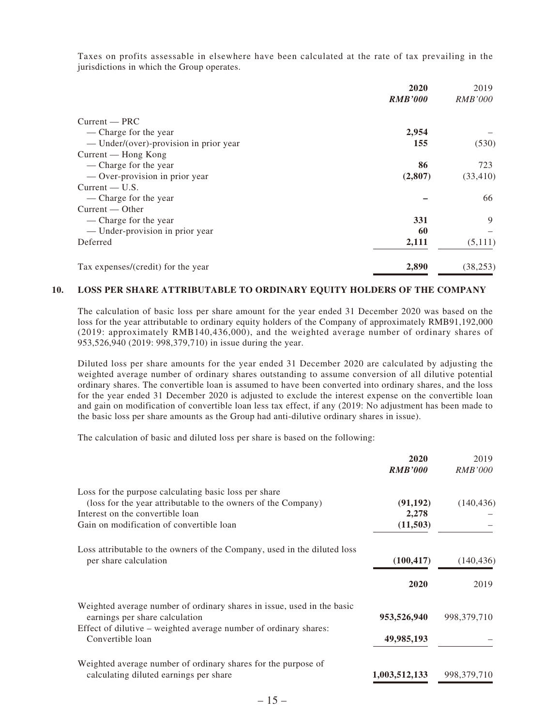Taxes on profits assessable in elsewhere have been calculated at the rate of tax prevailing in the jurisdictions in which the Group operates.

|                                        | 2020           | 2019           |
|----------------------------------------|----------------|----------------|
|                                        | <b>RMB'000</b> | <b>RMB'000</b> |
| $Current - PRC$                        |                |                |
| — Charge for the year                  | 2,954          |                |
| — Under/(over)-provision in prior year | 155            | (530)          |
| Current — Hong Kong                    |                |                |
| — Charge for the year                  | 86             | 723            |
| — Over-provision in prior year         | (2,807)        | (33, 410)      |
| $Current - U.S.$                       |                |                |
| — Charge for the year                  |                | 66             |
| $Current - Other$                      |                |                |
| — Charge for the year                  | 331            | 9              |
| — Under-provision in prior year        | 60             |                |
| Deferred                               | 2,111          | (5,111)        |
| Tax expenses/(credit) for the year     | 2,890          | (38, 253)      |

#### **10. LOSS PER SHARE ATTRIBUTABLE TO ORDINARY EQUITY HOLDERS OF THE COMPANY**

The calculation of basic loss per share amount for the year ended 31 December 2020 was based on the loss for the year attributable to ordinary equity holders of the Company of approximately RMB91,192,000 (2019: approximately RMB140,436,000), and the weighted average number of ordinary shares of 953,526,940 (2019: 998,379,710) in issue during the year.

Diluted loss per share amounts for the year ended 31 December 2020 are calculated by adjusting the weighted average number of ordinary shares outstanding to assume conversion of all dilutive potential ordinary shares. The convertible loan is assumed to have been converted into ordinary shares, and the loss for the year ended 31 December 2020 is adjusted to exclude the interest expense on the convertible loan and gain on modification of convertible loan less tax effect, if any (2019: No adjustment has been made to the basic loss per share amounts as the Group had anti-dilutive ordinary shares in issue).

The calculation of basic and diluted loss per share is based on the following:

|                                                                          | 2020           | 2019           |
|--------------------------------------------------------------------------|----------------|----------------|
|                                                                          | <b>RMB'000</b> | <i>RMB'000</i> |
| Loss for the purpose calculating basic loss per share                    |                |                |
| (loss for the year attributable to the owners of the Company)            | (91, 192)      | (140, 436)     |
| Interest on the convertible loan                                         | 2,278          |                |
| Gain on modification of convertible loan                                 | (11,503)       |                |
| Loss attributable to the owners of the Company, used in the diluted loss |                |                |
| per share calculation                                                    | (100, 417)     | (140, 436)     |
|                                                                          | 2020           | 2019           |
| Weighted average number of ordinary shares in issue, used in the basic   |                |                |
| earnings per share calculation                                           | 953,526,940    | 998, 379, 710  |
| Effect of dilutive – weighted average number of ordinary shares:         |                |                |
| Convertible loan                                                         | 49,985,193     |                |
| Weighted average number of ordinary shares for the purpose of            |                |                |
| calculating diluted earnings per share                                   | 1,003,512,133  | 998, 379, 710  |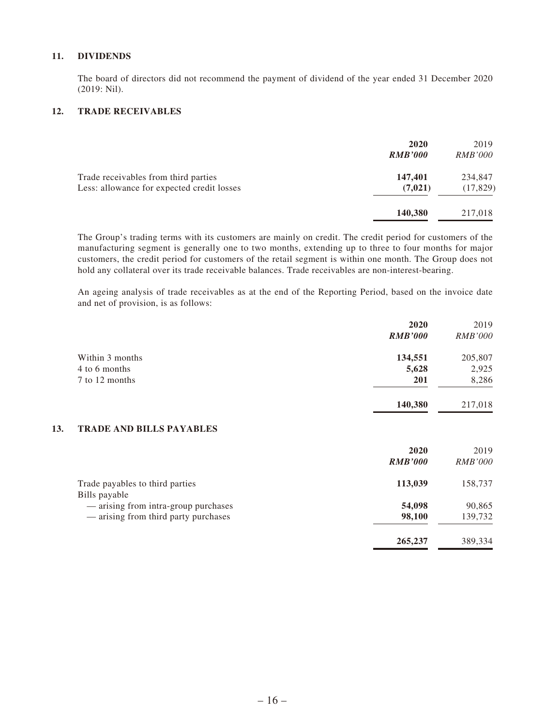#### **11. DIVIDENDS**

The board of directors did not recommend the payment of dividend of the year ended 31 December 2020 (2019: Nil).

#### **12. TRADE RECEIVABLES**

|                                                                                    | 2020<br><b>RMB'000</b> | 2019<br><i>RMB'000</i> |
|------------------------------------------------------------------------------------|------------------------|------------------------|
| Trade receivables from third parties<br>Less: allowance for expected credit losses | 147,401<br>(7, 021)    | 234,847<br>(17, 829)   |
|                                                                                    | 140,380                | 217,018                |

The Group's trading terms with its customers are mainly on credit. The credit period for customers of the manufacturing segment is generally one to two months, extending up to three to four months for major customers, the credit period for customers of the retail segment is within one month. The Group does not hold any collateral over its trade receivable balances. Trade receivables are non-interest-bearing.

An ageing analysis of trade receivables as at the end of the Reporting Period, based on the invoice date and net of provision, is as follows:

|     |                                                  | 2020           | 2019           |
|-----|--------------------------------------------------|----------------|----------------|
|     |                                                  | <b>RMB'000</b> | <i>RMB'000</i> |
|     | Within 3 months                                  | 134,551        | 205,807        |
|     | 4 to 6 months                                    | 5,628          | 2,925          |
|     | 7 to 12 months                                   | 201            | 8,286          |
|     |                                                  | 140,380        | 217,018        |
| 13. | <b>TRADE AND BILLS PAYABLES</b>                  |                |                |
|     |                                                  | 2020           | 2019           |
|     |                                                  | <b>RMB'000</b> | <i>RMB'000</i> |
|     | Trade payables to third parties<br>Bills payable | 113,039        | 158,737        |
|     | — arising from intra-group purchases             | 54,098         | 90,865         |
|     | — arising from third party purchases             | 98,100         | 139,732        |
|     |                                                  | 265,237        | 389,334        |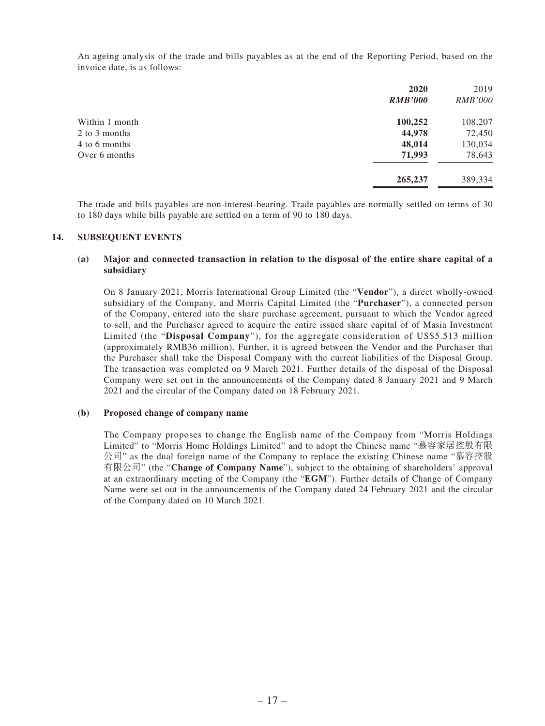An ageing analysis of the trade and bills payables as at the end of the Reporting Period, based on the invoice date, is as follows:

| 2020           | 2019           |
|----------------|----------------|
| <b>RMB'000</b> | <i>RMB'000</i> |
| 100,252        | 108,207        |
| 44,978         | 72,450         |
| 48,014         | 130,034        |
| 71,993         | 78,643         |
| 265,237        | 389,334        |
|                |                |

The trade and bills payables are non-interest-bearing. Trade payables are normally settled on terms of 30 to 180 days while bills payable are settled on a term of 90 to 180 days.

#### **14. SUBSEQUENT EVENTS**

#### **(a) Major and connected transaction in relation to the disposal of the entire share capital of a subsidiary**

On 8 January 2021, Morris International Group Limited (the "**Vendor**"), a direct wholly-owned subsidiary of the Company, and Morris Capital Limited (the "**Purchaser**"), a connected person of the Company, entered into the share purchase agreement, pursuant to which the Vendor agreed to sell, and the Purchaser agreed to acquire the entire issued share capital of of Masia Investment Limited (the "**Disposal Company**"), for the aggregate consideration of US\$5.513 million (approximately RMB36 million). Further, it is agreed between the Vendor and the Purchaser that the Purchaser shall take the Disposal Company with the current liabilities of the Disposal Group. The transaction was completed on 9 March 2021. Further details of the disposal of the Disposal Company were set out in the announcements of the Company dated 8 January 2021 and 9 March 2021 and the circular of the Company dated on 18 February 2021.

#### **(b) Proposed change of company name**

The Company proposes to change the English name of the Company from "Morris Holdings Limited" to "Morris Home Holdings Limited" and to adopt the Chinese name "慕容家居控股有限 公司" as the dual foreign name of the Company to replace the existing Chinese name "慕容控股 有限公司" (the "**Change of Company Name**"), subject to the obtaining of shareholders' approval at an extraordinary meeting of the Company (the "**EGM**"). Further details of Change of Company Name were set out in the announcements of the Company dated 24 February 2021 and the circular of the Company dated on 10 March 2021.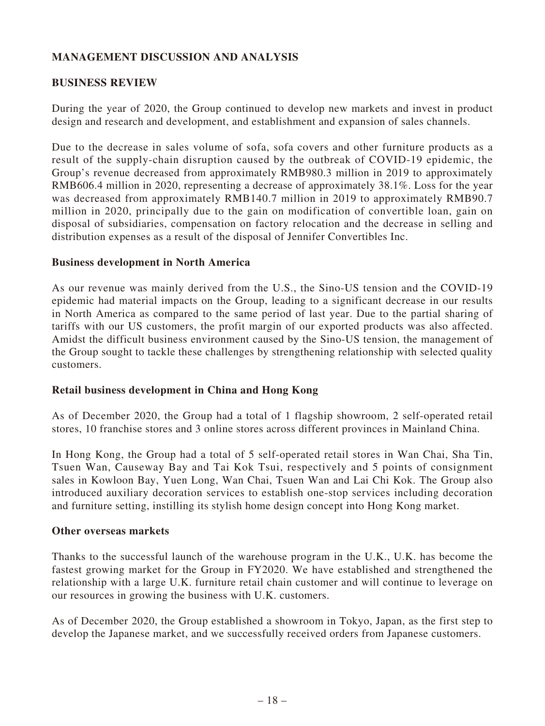# **MANAGEMENT DISCUSSION AND ANALYSIS**

# **BUSINESS REVIEW**

During the year of 2020, the Group continued to develop new markets and invest in product design and research and development, and establishment and expansion of sales channels.

Due to the decrease in sales volume of sofa, sofa covers and other furniture products as a result of the supply-chain disruption caused by the outbreak of COVID-19 epidemic, the Group's revenue decreased from approximately RMB980.3 million in 2019 to approximately RMB606.4 million in 2020, representing a decrease of approximately 38.1%. Loss for the year was decreased from approximately RMB140.7 million in 2019 to approximately RMB90.7 million in 2020, principally due to the gain on modification of convertible loan, gain on disposal of subsidiaries, compensation on factory relocation and the decrease in selling and distribution expenses as a result of the disposal of Jennifer Convertibles Inc.

#### **Business development in North America**

As our revenue was mainly derived from the U.S., the Sino-US tension and the COVID-19 epidemic had material impacts on the Group, leading to a significant decrease in our results in North America as compared to the same period of last year. Due to the partial sharing of tariffs with our US customers, the profit margin of our exported products was also affected. Amidst the difficult business environment caused by the Sino-US tension, the management of the Group sought to tackle these challenges by strengthening relationship with selected quality customers.

# **Retail business development in China and Hong Kong**

As of December 2020, the Group had a total of 1 flagship showroom, 2 self-operated retail stores, 10 franchise stores and 3 online stores across different provinces in Mainland China.

In Hong Kong, the Group had a total of 5 self-operated retail stores in Wan Chai, Sha Tin, Tsuen Wan, Causeway Bay and Tai Kok Tsui, respectively and 5 points of consignment sales in Kowloon Bay, Yuen Long, Wan Chai, Tsuen Wan and Lai Chi Kok. The Group also introduced auxiliary decoration services to establish one-stop services including decoration and furniture setting, instilling its stylish home design concept into Hong Kong market.

#### **Other overseas markets**

Thanks to the successful launch of the warehouse program in the U.K., U.K. has become the fastest growing market for the Group in FY2020. We have established and strengthened the relationship with a large U.K. furniture retail chain customer and will continue to leverage on our resources in growing the business with U.K. customers.

As of December 2020, the Group established a showroom in Tokyo, Japan, as the first step to develop the Japanese market, and we successfully received orders from Japanese customers.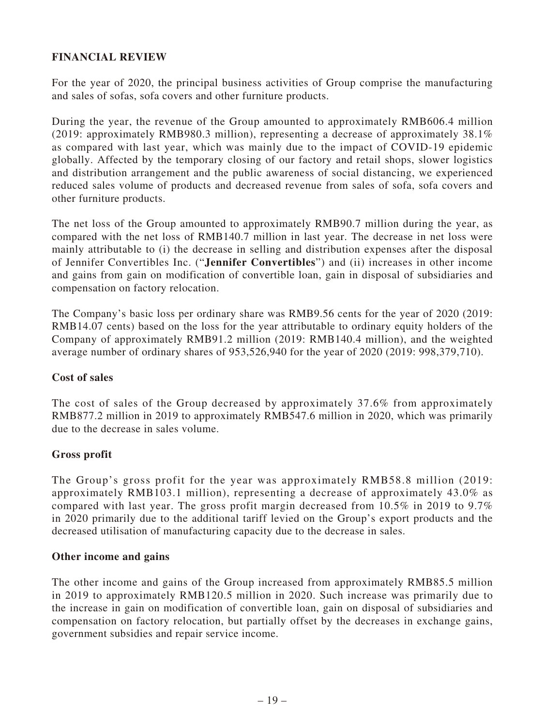# **FINANCIAL REVIEW**

For the year of 2020, the principal business activities of Group comprise the manufacturing and sales of sofas, sofa covers and other furniture products.

During the year, the revenue of the Group amounted to approximately RMB606.4 million (2019: approximately RMB980.3 million), representing a decrease of approximately 38.1% as compared with last year, which was mainly due to the impact of COVID-19 epidemic globally. Affected by the temporary closing of our factory and retail shops, slower logistics and distribution arrangement and the public awareness of social distancing, we experienced reduced sales volume of products and decreased revenue from sales of sofa, sofa covers and other furniture products.

The net loss of the Group amounted to approximately RMB90.7 million during the year, as compared with the net loss of RMB140.7 million in last year. The decrease in net loss were mainly attributable to (i) the decrease in selling and distribution expenses after the disposal of Jennifer Convertibles Inc. ("**Jennifer Convertibles**") and (ii) increases in other income and gains from gain on modification of convertible loan, gain in disposal of subsidiaries and compensation on factory relocation.

The Company's basic loss per ordinary share was RMB9.56 cents for the year of 2020 (2019: RMB14.07 cents) based on the loss for the year attributable to ordinary equity holders of the Company of approximately RMB91.2 million (2019: RMB140.4 million), and the weighted average number of ordinary shares of 953,526,940 for the year of 2020 (2019: 998,379,710).

# **Cost of sales**

The cost of sales of the Group decreased by approximately 37.6% from approximately RMB877.2 million in 2019 to approximately RMB547.6 million in 2020, which was primarily due to the decrease in sales volume.

# **Gross profit**

The Group's gross profit for the year was approximately RMB58.8 million (2019: approximately RMB103.1 million), representing a decrease of approximately 43.0% as compared with last year. The gross profit margin decreased from  $10.5\%$  in 2019 to 9.7% in 2020 primarily due to the additional tariff levied on the Group's export products and the decreased utilisation of manufacturing capacity due to the decrease in sales.

#### **Other income and gains**

The other income and gains of the Group increased from approximately RMB85.5 million in 2019 to approximately RMB120.5 million in 2020. Such increase was primarily due to the increase in gain on modification of convertible loan, gain on disposal of subsidiaries and compensation on factory relocation, but partially offset by the decreases in exchange gains, government subsidies and repair service income.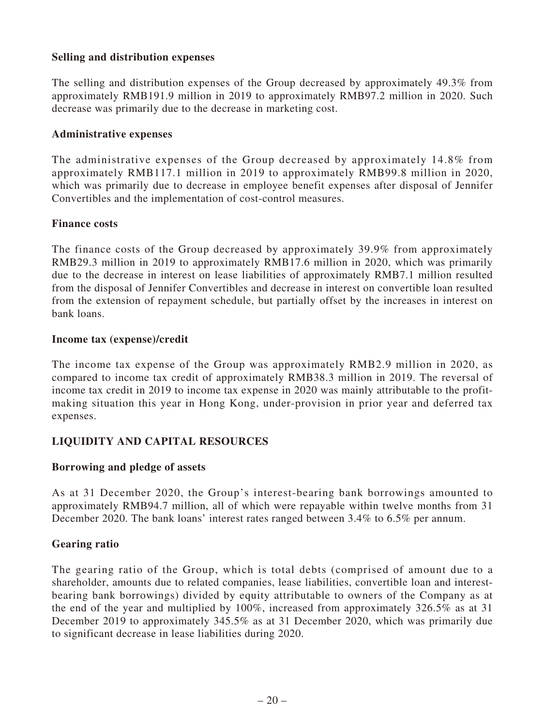# **Selling and distribution expenses**

The selling and distribution expenses of the Group decreased by approximately 49.3% from approximately RMB191.9 million in 2019 to approximately RMB97.2 million in 2020. Such decrease was primarily due to the decrease in marketing cost.

#### **Administrative expenses**

The administrative expenses of the Group decreased by approximately 14.8% from approximately RMB117.1 million in 2019 to approximately RMB99.8 million in 2020, which was primarily due to decrease in employee benefit expenses after disposal of Jennifer Convertibles and the implementation of cost-control measures.

#### **Finance costs**

The finance costs of the Group decreased by approximately 39.9% from approximately RMB29.3 million in 2019 to approximately RMB17.6 million in 2020, which was primarily due to the decrease in interest on lease liabilities of approximately RMB7.1 million resulted from the disposal of Jennifer Convertibles and decrease in interest on convertible loan resulted from the extension of repayment schedule, but partially offset by the increases in interest on bank loans.

### **Income tax (expense)/credit**

The income tax expense of the Group was approximately RMB2.9 million in 2020, as compared to income tax credit of approximately RMB38.3 million in 2019. The reversal of income tax credit in 2019 to income tax expense in 2020 was mainly attributable to the profitmaking situation this year in Hong Kong, under-provision in prior year and deferred tax expenses.

# **LIQUIDITY AND CAPITAL RESOURCES**

# **Borrowing and pledge of assets**

As at 31 December 2020, the Group's interest-bearing bank borrowings amounted to approximately RMB94.7 million, all of which were repayable within twelve months from 31 December 2020. The bank loans' interest rates ranged between 3.4% to 6.5% per annum.

# **Gearing ratio**

The gearing ratio of the Group, which is total debts (comprised of amount due to a shareholder, amounts due to related companies, lease liabilities, convertible loan and interestbearing bank borrowings) divided by equity attributable to owners of the Company as at the end of the year and multiplied by 100%, increased from approximately 326.5% as at 31 December 2019 to approximately 345.5% as at 31 December 2020, which was primarily due to significant decrease in lease liabilities during 2020.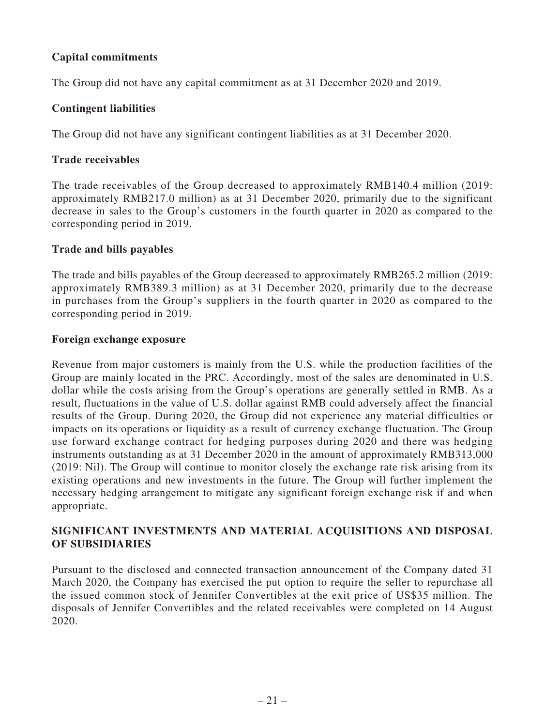# **Capital commitments**

The Group did not have any capital commitment as at 31 December 2020 and 2019.

### **Contingent liabilities**

The Group did not have any significant contingent liabilities as at 31 December 2020.

### **Trade receivables**

The trade receivables of the Group decreased to approximately RMB140.4 million (2019: approximately RMB217.0 million) as at 31 December 2020, primarily due to the significant decrease in sales to the Group's customers in the fourth quarter in 2020 as compared to the corresponding period in 2019.

### **Trade and bills payables**

The trade and bills payables of the Group decreased to approximately RMB265.2 million (2019: approximately RMB389.3 million) as at 31 December 2020, primarily due to the decrease in purchases from the Group's suppliers in the fourth quarter in 2020 as compared to the corresponding period in 2019.

#### **Foreign exchange exposure**

Revenue from major customers is mainly from the U.S. while the production facilities of the Group are mainly located in the PRC. Accordingly, most of the sales are denominated in U.S. dollar while the costs arising from the Group's operations are generally settled in RMB. As a result, fluctuations in the value of U.S. dollar against RMB could adversely affect the financial results of the Group. During 2020, the Group did not experience any material difficulties or impacts on its operations or liquidity as a result of currency exchange fluctuation. The Group use forward exchange contract for hedging purposes during 2020 and there was hedging instruments outstanding as at 31 December 2020 in the amount of approximately RMB313,000 (2019: Nil). The Group will continue to monitor closely the exchange rate risk arising from its existing operations and new investments in the future. The Group will further implement the necessary hedging arrangement to mitigate any significant foreign exchange risk if and when appropriate.

# **SIGNIFICANT INVESTMENTS AND MATERIAL ACQUISITIONS AND DISPOSAL OF SUBSIDIARIES**

Pursuant to the disclosed and connected transaction announcement of the Company dated 31 March 2020, the Company has exercised the put option to require the seller to repurchase all the issued common stock of Jennifer Convertibles at the exit price of US\$35 million. The disposals of Jennifer Convertibles and the related receivables were completed on 14 August 2020.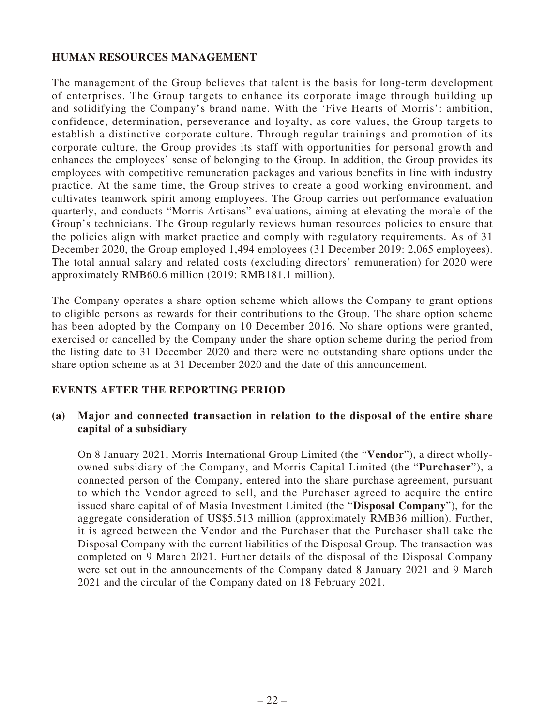# **HUMAN RESOURCES MANAGEMENT**

The management of the Group believes that talent is the basis for long-term development of enterprises. The Group targets to enhance its corporate image through building up and solidifying the Company's brand name. With the 'Five Hearts of Morris': ambition, confidence, determination, perseverance and loyalty, as core values, the Group targets to establish a distinctive corporate culture. Through regular trainings and promotion of its corporate culture, the Group provides its staff with opportunities for personal growth and enhances the employees' sense of belonging to the Group. In addition, the Group provides its employees with competitive remuneration packages and various benefits in line with industry practice. At the same time, the Group strives to create a good working environment, and cultivates teamwork spirit among employees. The Group carries out performance evaluation quarterly, and conducts "Morris Artisans" evaluations, aiming at elevating the morale of the Group's technicians. The Group regularly reviews human resources policies to ensure that the policies align with market practice and comply with regulatory requirements. As of 31 December 2020, the Group employed 1,494 employees (31 December 2019: 2,065 employees). The total annual salary and related costs (excluding directors' remuneration) for 2020 were approximately RMB60.6 million (2019: RMB181.1 million).

The Company operates a share option scheme which allows the Company to grant options to eligible persons as rewards for their contributions to the Group. The share option scheme has been adopted by the Company on 10 December 2016. No share options were granted, exercised or cancelled by the Company under the share option scheme during the period from the listing date to 31 December 2020 and there were no outstanding share options under the share option scheme as at 31 December 2020 and the date of this announcement.

# **EVENTS AFTER THE REPORTING PERIOD**

# **(a) Major and connected transaction in relation to the disposal of the entire share capital of a subsidiary**

On 8 January 2021, Morris International Group Limited (the "**Vendor**"), a direct whollyowned subsidiary of the Company, and Morris Capital Limited (the "**Purchaser**"), a connected person of the Company, entered into the share purchase agreement, pursuant to which the Vendor agreed to sell, and the Purchaser agreed to acquire the entire issued share capital of of Masia Investment Limited (the "**Disposal Company**"), for the aggregate consideration of US\$5.513 million (approximately RMB36 million). Further, it is agreed between the Vendor and the Purchaser that the Purchaser shall take the Disposal Company with the current liabilities of the Disposal Group. The transaction was completed on 9 March 2021. Further details of the disposal of the Disposal Company were set out in the announcements of the Company dated 8 January 2021 and 9 March 2021 and the circular of the Company dated on 18 February 2021.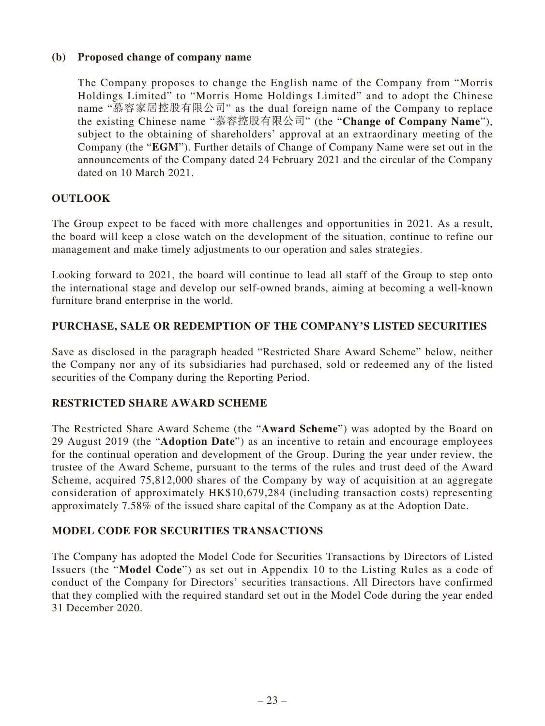# **(b) Proposed change of company name**

The Company proposes to change the English name of the Company from "Morris Holdings Limited" to "Morris Home Holdings Limited" and to adopt the Chinese name "慕容家居控股有限公司" as the dual foreign name of the Company to replace the existing Chinese name "慕容控股有限公司" (the "**Change of Company Name**"), subject to the obtaining of shareholders' approval at an extraordinary meeting of the Company (the "**EGM**"). Further details of Change of Company Name were set out in the announcements of the Company dated 24 February 2021 and the circular of the Company dated on 10 March 2021.

# **OUTLOOK**

The Group expect to be faced with more challenges and opportunities in 2021. As a result, the board will keep a close watch on the development of the situation, continue to refine our management and make timely adjustments to our operation and sales strategies.

Looking forward to 2021, the board will continue to lead all staff of the Group to step onto the international stage and develop our self-owned brands, aiming at becoming a well-known furniture brand enterprise in the world.

### **PURCHASE, SALE OR REDEMPTION OF THE COMPANY'S LISTED SECURITIES**

Save as disclosed in the paragraph headed "Restricted Share Award Scheme" below, neither the Company nor any of its subsidiaries had purchased, sold or redeemed any of the listed securities of the Company during the Reporting Period.

#### **RESTRICTED SHARE AWARD SCHEME**

The Restricted Share Award Scheme (the "**Award Scheme**") was adopted by the Board on 29 August 2019 (the "**Adoption Date**") as an incentive to retain and encourage employees for the continual operation and development of the Group. During the year under review, the trustee of the Award Scheme, pursuant to the terms of the rules and trust deed of the Award Scheme, acquired 75,812,000 shares of the Company by way of acquisition at an aggregate consideration of approximately HK\$10,679,284 (including transaction costs) representing approximately 7.58% of the issued share capital of the Company as at the Adoption Date.

# **MODEL CODE FOR SECURITIES TRANSACTIONS**

The Company has adopted the Model Code for Securities Transactions by Directors of Listed Issuers (the "**Model Code**") as set out in Appendix 10 to the Listing Rules as a code of conduct of the Company for Directors' securities transactions. All Directors have confirmed that they complied with the required standard set out in the Model Code during the year ended 31 December 2020.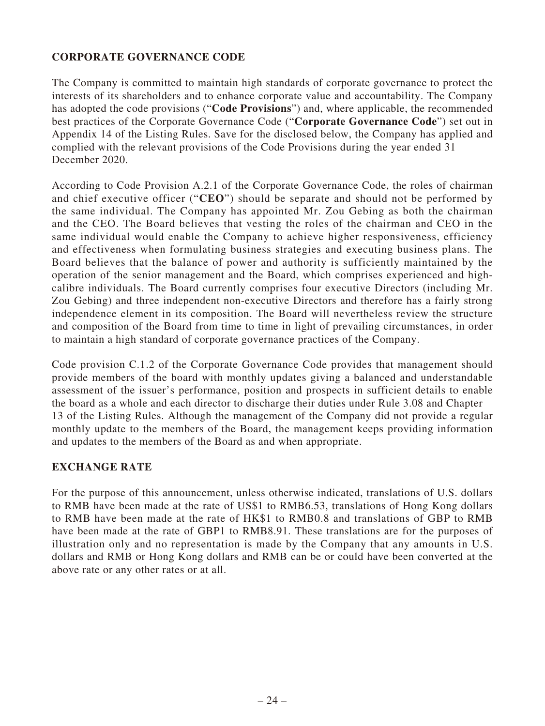# **CORPORATE GOVERNANCE CODE**

The Company is committed to maintain high standards of corporate governance to protect the interests of its shareholders and to enhance corporate value and accountability. The Company has adopted the code provisions ("**Code Provisions**") and, where applicable, the recommended best practices of the Corporate Governance Code ("**Corporate Governance Code**") set out in Appendix 14 of the Listing Rules. Save for the disclosed below, the Company has applied and complied with the relevant provisions of the Code Provisions during the year ended 31 December 2020.

According to Code Provision A.2.1 of the Corporate Governance Code, the roles of chairman and chief executive officer ("**CEO**") should be separate and should not be performed by the same individual. The Company has appointed Mr. Zou Gebing as both the chairman and the CEO. The Board believes that vesting the roles of the chairman and CEO in the same individual would enable the Company to achieve higher responsiveness, efficiency and effectiveness when formulating business strategies and executing business plans. The Board believes that the balance of power and authority is sufficiently maintained by the operation of the senior management and the Board, which comprises experienced and highcalibre individuals. The Board currently comprises four executive Directors (including Mr. Zou Gebing) and three independent non-executive Directors and therefore has a fairly strong independence element in its composition. The Board will nevertheless review the structure and composition of the Board from time to time in light of prevailing circumstances, in order to maintain a high standard of corporate governance practices of the Company.

Code provision C.1.2 of the Corporate Governance Code provides that management should provide members of the board with monthly updates giving a balanced and understandable assessment of the issuer's performance, position and prospects in sufficient details to enable the board as a whole and each director to discharge their duties under Rule 3.08 and Chapter 13 of the Listing Rules. Although the management of the Company did not provide a regular monthly update to the members of the Board, the management keeps providing information and updates to the members of the Board as and when appropriate.

# **EXCHANGE RATE**

For the purpose of this announcement, unless otherwise indicated, translations of U.S. dollars to RMB have been made at the rate of US\$1 to RMB6.53, translations of Hong Kong dollars to RMB have been made at the rate of HK\$1 to RMB0.8 and translations of GBP to RMB have been made at the rate of GBP1 to RMB8.91. These translations are for the purposes of illustration only and no representation is made by the Company that any amounts in U.S. dollars and RMB or Hong Kong dollars and RMB can be or could have been converted at the above rate or any other rates or at all.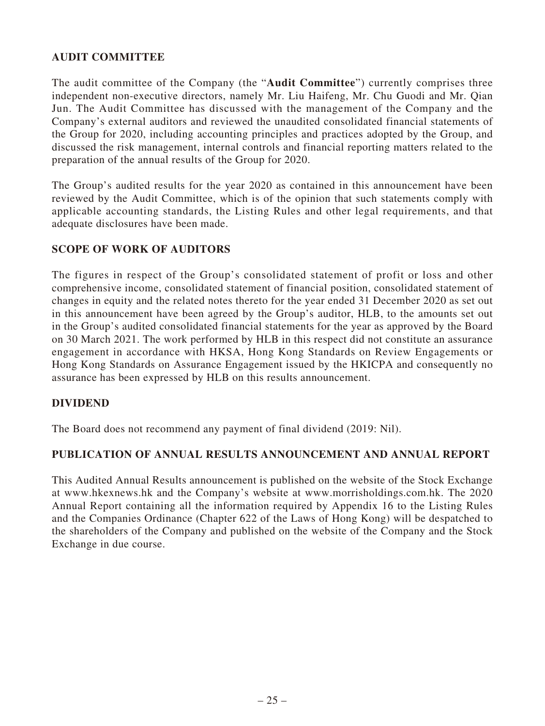# **AUDIT COMMITTEE**

The audit committee of the Company (the "**Audit Committee**") currently comprises three independent non-executive directors, namely Mr. Liu Haifeng, Mr. Chu Guodi and Mr. Qian Jun. The Audit Committee has discussed with the management of the Company and the Company's external auditors and reviewed the unaudited consolidated financial statements of the Group for 2020, including accounting principles and practices adopted by the Group, and discussed the risk management, internal controls and financial reporting matters related to the preparation of the annual results of the Group for 2020.

The Group's audited results for the year 2020 as contained in this announcement have been reviewed by the Audit Committee, which is of the opinion that such statements comply with applicable accounting standards, the Listing Rules and other legal requirements, and that adequate disclosures have been made.

# **SCOPE OF WORK OF AUDITORS**

The figures in respect of the Group's consolidated statement of profit or loss and other comprehensive income, consolidated statement of financial position, consolidated statement of changes in equity and the related notes thereto for the year ended 31 December 2020 as set out in this announcement have been agreed by the Group's auditor, HLB, to the amounts set out in the Group's audited consolidated financial statements for the year as approved by the Board on 30 March 2021. The work performed by HLB in this respect did not constitute an assurance engagement in accordance with HKSA, Hong Kong Standards on Review Engagements or Hong Kong Standards on Assurance Engagement issued by the HKICPA and consequently no assurance has been expressed by HLB on this results announcement.

# **DIVIDEND**

The Board does not recommend any payment of final dividend (2019: Nil).

# **PUBLICATION OF ANNUAL RESULTS ANNOUNCEMENT AND ANNUAL REPORT**

This Audited Annual Results announcement is published on the website of the Stock Exchange at www.hkexnews.hk and the Company's website at www.morrisholdings.com.hk. The 2020 Annual Report containing all the information required by Appendix 16 to the Listing Rules and the Companies Ordinance (Chapter 622 of the Laws of Hong Kong) will be despatched to the shareholders of the Company and published on the website of the Company and the Stock Exchange in due course.